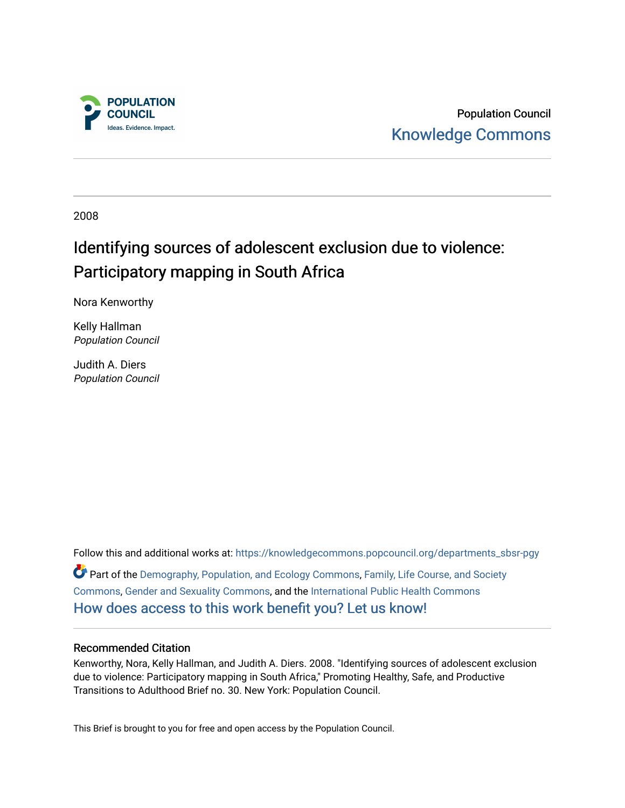

Population Council [Knowledge Commons](https://knowledgecommons.popcouncil.org/) 

2008

# Identifying sources of adolescent exclusion due to violence: Participatory mapping in South Africa

Nora Kenworthy

Kelly Hallman Population Council

Judith A. Diers Population Council

Follow this and additional works at: [https://knowledgecommons.popcouncil.org/departments\\_sbsr-pgy](https://knowledgecommons.popcouncil.org/departments_sbsr-pgy?utm_source=knowledgecommons.popcouncil.org%2Fdepartments_sbsr-pgy%2F828&utm_medium=PDF&utm_campaign=PDFCoverPages)  Part of the [Demography, Population, and Ecology Commons,](https://network.bepress.com/hgg/discipline/418?utm_source=knowledgecommons.popcouncil.org%2Fdepartments_sbsr-pgy%2F828&utm_medium=PDF&utm_campaign=PDFCoverPages) [Family, Life Course, and Society](https://network.bepress.com/hgg/discipline/419?utm_source=knowledgecommons.popcouncil.org%2Fdepartments_sbsr-pgy%2F828&utm_medium=PDF&utm_campaign=PDFCoverPages)  [Commons](https://network.bepress.com/hgg/discipline/419?utm_source=knowledgecommons.popcouncil.org%2Fdepartments_sbsr-pgy%2F828&utm_medium=PDF&utm_campaign=PDFCoverPages), [Gender and Sexuality Commons,](https://network.bepress.com/hgg/discipline/420?utm_source=knowledgecommons.popcouncil.org%2Fdepartments_sbsr-pgy%2F828&utm_medium=PDF&utm_campaign=PDFCoverPages) and the [International Public Health Commons](https://network.bepress.com/hgg/discipline/746?utm_source=knowledgecommons.popcouncil.org%2Fdepartments_sbsr-pgy%2F828&utm_medium=PDF&utm_campaign=PDFCoverPages)  [How does access to this work benefit you? Let us know!](https://pcouncil.wufoo.com/forms/open-access-to-population-council-research/)

# Recommended Citation

Kenworthy, Nora, Kelly Hallman, and Judith A. Diers. 2008. "Identifying sources of adolescent exclusion due to violence: Participatory mapping in South Africa," Promoting Healthy, Safe, and Productive Transitions to Adulthood Brief no. 30. New York: Population Council.

This Brief is brought to you for free and open access by the Population Council.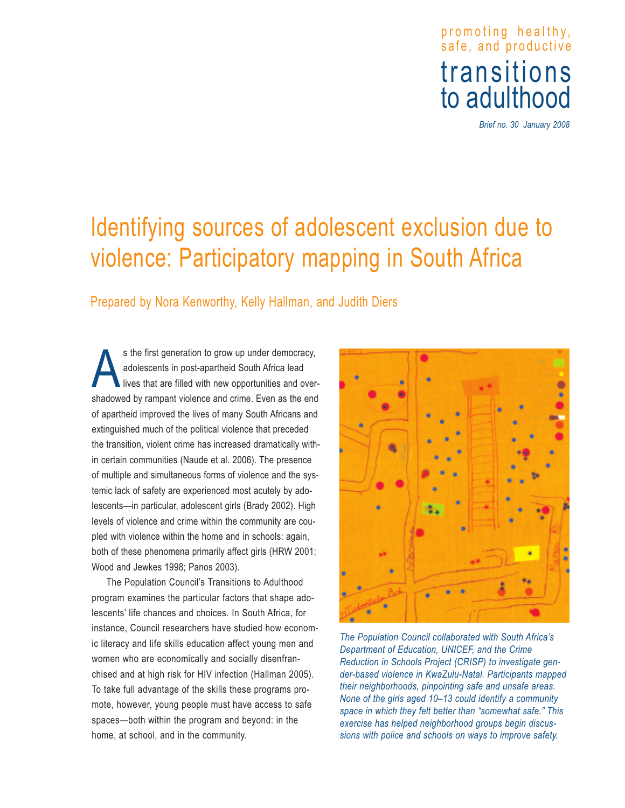# pro moti ng hea lthy, safe, and productive transitions<br>to adulthood

*Brief no. 30 January 2008*

# Identifying sources of adolescent exclusion due to violence: Participatory mapping in South Africa

Prepared by Nora Kenworthy, Kelly Hallman, and Judith Diers

s the first generation to grow up under democracy, adolescents in post-apartheid South Africa lead lives that are filled with new opportunities and overshadowed by rampant violence and crime. Even as the end of apartheid improved the lives of many South Africans and extinguished much of the political violence that preceded the transition, violent crime has increased dramatically within certain communities (Naude et al. 2006). The presence of multiple and simultaneous forms of violence and the systemic lack of safety are experienced most acutely by adolescents—in particular, adolescent girls (Brady 2002). High levels of violence and crime within the community are coupled with violence within the home and in schools: again, both of these phenomena primarily affect girls (HRW 2001; Wood and Jewkes 1998; Panos 2003).

The Population Council's Transitions to Adulthood program examines the particular factors that shape adolescents' life chances and choices. In South Africa, for instance, Council researchers have studied how economic literacy and life skills education affect young men and women who are economically and socially disenfranchised and at high risk for HIV infection (Hallman 2005). To take full advantage of the skills these programs promote, however, young people must have access to safe spaces—both within the program and beyond: in the home, at school, and in the community.



*The Population Council collaborated with South Africa's Department of Education, UNICEF, and the Crime Reduction in Schools Project (CRISP) to investigate gender-based violence in KwaZulu-Natal. Participants mapped their neighborhoods, pinpointing safe and unsafe areas. None of the girls aged 10–13 could identify a community space in which they felt better than "somewhat safe." This exercise has helped neighborhood groups begin discussions with police and schools on ways to improve safety.*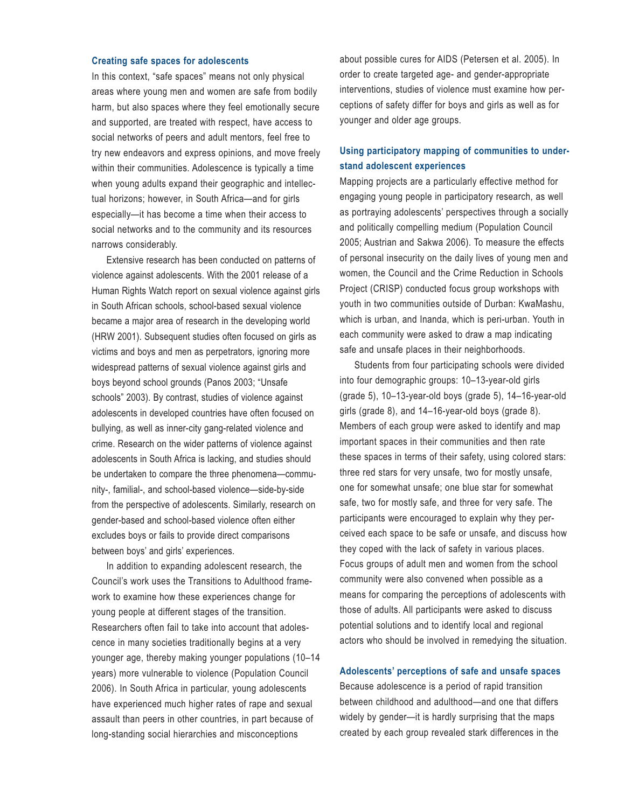#### **Creating safe spaces for adolescents**

In this context, "safe spaces" means not only physical areas where young men and women are safe from bodily harm, but also spaces where they feel emotionally secure and supported, are treated with respect, have access to social networks of peers and adult mentors, feel free to try new endeavors and express opinions, and move freely within their communities. Adolescence is typically a time when young adults expand their geographic and intellectual horizons; however, in South Africa—and for girls especially—it has become a time when their access to social networks and to the community and its resources narrows considerably.

Extensive research has been conducted on patterns of violence against adolescents. With the 2001 release of a Human Rights Watch report on sexual violence against girls in South African schools, school-based sexual violence became a major area of research in the developing world (HRW 2001). Subsequent studies often focused on girls as victims and boys and men as perpetrators, ignoring more widespread patterns of sexual violence against girls and boys beyond school grounds (Panos 2003; "Unsafe schools" 2003). By contrast, studies of violence against adolescents in developed countries have often focused on bullying, as well as inner-city gang-related violence and crime. Research on the wider patterns of violence against adolescents in South Africa is lacking, and studies should be undertaken to compare the three phenomena—community-, familial-, and school-based violence—side-by-side from the perspective of adolescents. Similarly, research on gender-based and school-based violence often either excludes boys or fails to provide direct comparisons between boys' and girls' experiences.

In addition to expanding adolescent research, the Council's work uses the Transitions to Adulthood framework to examine how these experiences change for young people at different stages of the transition. Researchers often fail to take into account that adolescence in many societies traditionally begins at a very younger age, thereby making younger populations (10–14 years) more vulnerable to violence (Population Council 2006). In South Africa in particular, young adolescents have experienced much higher rates of rape and sexual assault than peers in other countries, in part because of long-standing social hierarchies and misconceptions

about possible cures for AIDS (Petersen et al. 2005). In order to create targeted age- and gender-appropriate interventions, studies of violence must examine how perceptions of safety differ for boys and girls as well as for younger and older age groups.

### **Using participatory mapping of communities to understand adolescent experiences**

Mapping projects are a particularly effective method for engaging young people in participatory research, as well as portraying adolescents' perspectives through a socially and politically compelling medium (Population Council 2005; Austrian and Sakwa 2006). To measure the effects of personal insecurity on the daily lives of young men and women, the Council and the Crime Reduction in Schools Project (CRISP) conducted focus group workshops with youth in two communities outside of Durban: KwaMashu, which is urban, and Inanda, which is peri-urban. Youth in each community were asked to draw a map indicating safe and unsafe places in their neighborhoods.

Students from four participating schools were divided into four demographic groups: 10–13-year-old girls (grade 5), 10–13-year-old boys (grade 5), 14–16-year-old girls (grade 8), and 14–16-year-old boys (grade 8). Members of each group were asked to identify and map important spaces in their communities and then rate these spaces in terms of their safety, using colored stars: three red stars for very unsafe, two for mostly unsafe, one for somewhat unsafe; one blue star for somewhat safe, two for mostly safe, and three for very safe. The participants were encouraged to explain why they perceived each space to be safe or unsafe, and discuss how they coped with the lack of safety in various places. Focus groups of adult men and women from the school community were also convened when possible as a means for comparing the perceptions of adolescents with those of adults. All participants were asked to discuss potential solutions and to identify local and regional actors who should be involved in remedying the situation.

#### **Adolescents' perceptions of safe and unsafe spaces**

Because adolescence is a period of rapid transition between childhood and adulthood—and one that differs widely by gender—it is hardly surprising that the maps created by each group revealed stark differences in the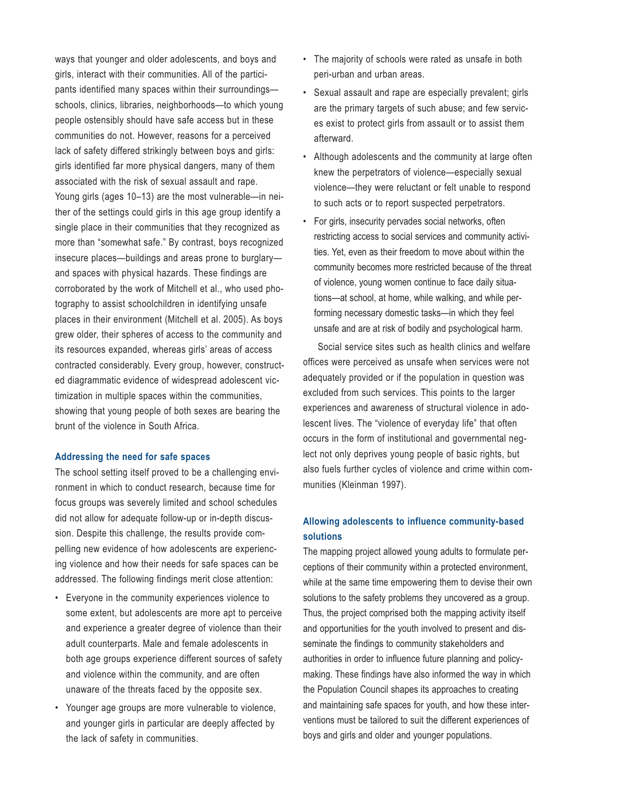ways that younger and older adolescents, and boys and girls, interact with their communities. All of the participants identified many spaces within their surroundings schools, clinics, libraries, neighborhoods—to which young people ostensibly should have safe access but in these communities do not. However, reasons for a perceived lack of safety differed strikingly between boys and girls: girls identified far more physical dangers, many of them associated with the risk of sexual assault and rape. Young girls (ages 10–13) are the most vulnerable—in neither of the settings could girls in this age group identify a single place in their communities that they recognized as more than "somewhat safe." By contrast, boys recognized insecure places—buildings and areas prone to burglary and spaces with physical hazards. These findings are corroborated by the work of Mitchell et al., who used photography to assist schoolchildren in identifying unsafe places in their environment (Mitchell et al. 2005). As boys grew older, their spheres of access to the community and its resources expanded, whereas girls' areas of access contracted considerably. Every group, however, constructed diagrammatic evidence of widespread adolescent victimization in multiple spaces within the communities, showing that young people of both sexes are bearing the brunt of the violence in South Africa.

#### **Addressing the need for safe spaces**

The school setting itself proved to be a challenging environment in which to conduct research, because time for focus groups was severely limited and school schedules did not allow for adequate follow-up or in-depth discussion. Despite this challenge, the results provide compelling new evidence of how adolescents are experiencing violence and how their needs for safe spaces can be addressed. The following findings merit close attention:

- Everyone in the community experiences violence to some extent, but adolescents are more apt to perceive and experience a greater degree of violence than their adult counterparts. Male and female adolescents in both age groups experience different sources of safety and violence within the community, and are often unaware of the threats faced by the opposite sex.
- Younger age groups are more vulnerable to violence, and younger girls in particular are deeply affected by the lack of safety in communities.
- The majority of schools were rated as unsafe in both peri-urban and urban areas.
- Sexual assault and rape are especially prevalent; girls are the primary targets of such abuse; and few services exist to protect girls from assault or to assist them afterward.
- Although adolescents and the community at large often knew the perpetrators of violence—especially sexual violence—they were reluctant or felt unable to respond to such acts or to report suspected perpetrators.
- For girls, insecurity pervades social networks, often restricting access to social services and community activities. Yet, even as their freedom to move about within the community becomes more restricted because of the threat of violence, young women continue to face daily situations—at school, at home, while walking, and while performing necessary domestic tasks—in which they feel unsafe and are at risk of bodily and psychological harm.

Social service sites such as health clinics and welfare offices were perceived as unsafe when services were not adequately provided or if the population in question was excluded from such services. This points to the larger experiences and awareness of structural violence in adolescent lives. The "violence of everyday life" that often occurs in the form of institutional and governmental neglect not only deprives young people of basic rights, but also fuels further cycles of violence and crime within communities (Kleinman 1997).

# **Allowing adolescents to influence community-based solutions**

The mapping project allowed young adults to formulate perceptions of their community within a protected environment, while at the same time empowering them to devise their own solutions to the safety problems they uncovered as a group. Thus, the project comprised both the mapping activity itself and opportunities for the youth involved to present and disseminate the findings to community stakeholders and authorities in order to influence future planning and policymaking. These findings have also informed the way in which the Population Council shapes its approaches to creating and maintaining safe spaces for youth, and how these interventions must be tailored to suit the different experiences of boys and girls and older and younger populations.